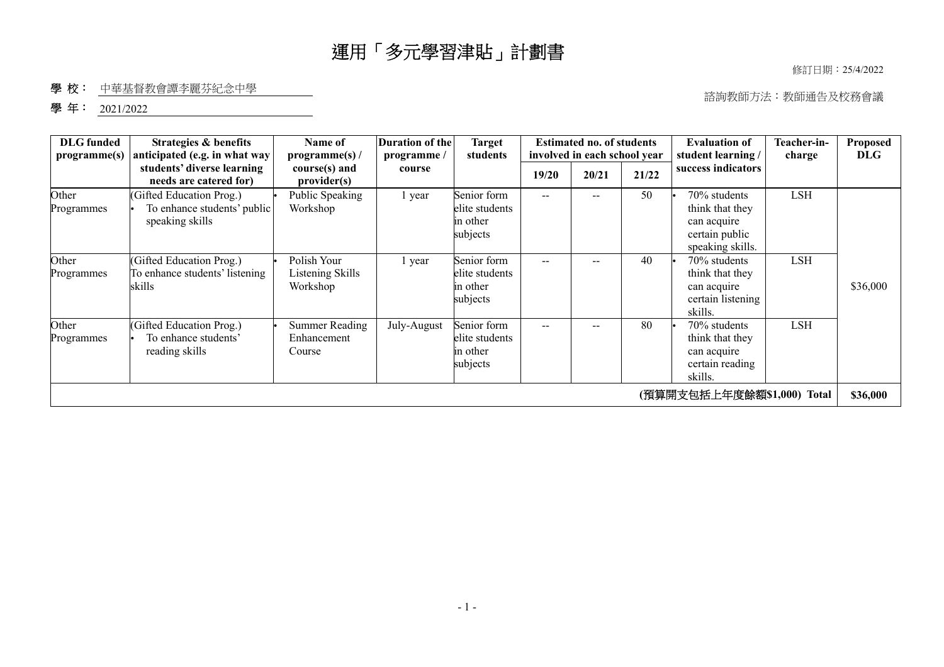修訂日期︰25/4/2022

#### 學校: 中華基督教會譚李麗芬紀念中學

諮詢教師方法︰教師通告及校務會議

#### 學年: 2021/2022

| <b>DLG</b> funded<br>programme(s) | Strategies & benefits<br>anticipated (e.g. in what way                    | Name of<br>programme(s) $/$                    | <b>Duration of the</b><br>programme/ | <b>Target</b><br>students                             |       | <b>Estimated no. of students</b><br>involved in each school year |       | <b>Evaluation of</b><br>student learning /                                           | Teacher-in-<br>charge |          |
|-----------------------------------|---------------------------------------------------------------------------|------------------------------------------------|--------------------------------------|-------------------------------------------------------|-------|------------------------------------------------------------------|-------|--------------------------------------------------------------------------------------|-----------------------|----------|
|                                   | students' diverse learning<br>needs are catered for)                      | course(s) and<br>provider(s)                   | course                               |                                                       | 19/20 | 20/21                                                            | 21/22 | success indicators                                                                   |                       |          |
| Other<br>Programmes               | Gifted Education Prog.)<br>To enhance students' public<br>speaking skills | Public Speaking<br>Workshop                    | l year                               | Senior form<br>elite students<br>in other<br>subjects | --    |                                                                  | 50    | 70% students<br>think that they<br>can acquire<br>certain public<br>speaking skills. | <b>LSH</b>            |          |
| Other<br>Programmes               | Gifted Education Prog.)<br>To enhance students' listening<br>skills       | Polish Your<br>Listening Skills<br>Workshop    | vear                                 | Senior form<br>elite students<br>in other<br>subjects | --    | --                                                               | 40    | 70% students<br>think that they<br>can acquire<br>certain listening<br>skills.       | <b>LSH</b>            | \$36,000 |
| Other<br>Programmes               | Gifted Education Prog.)<br>To enhance students'<br>reading skills         | <b>Summer Reading</b><br>Enhancement<br>Course | July-August                          | Senior form<br>elite students<br>in other<br>subjects | --    | --                                                               | 80    | 70% students<br>think that they<br>can acquire<br>certain reading<br>skills.         | <b>LSH</b>            |          |
|                                   |                                                                           |                                                |                                      |                                                       |       |                                                                  |       | (預算開支包括上年度餘額\$1,000) Total                                                           |                       | \$36,000 |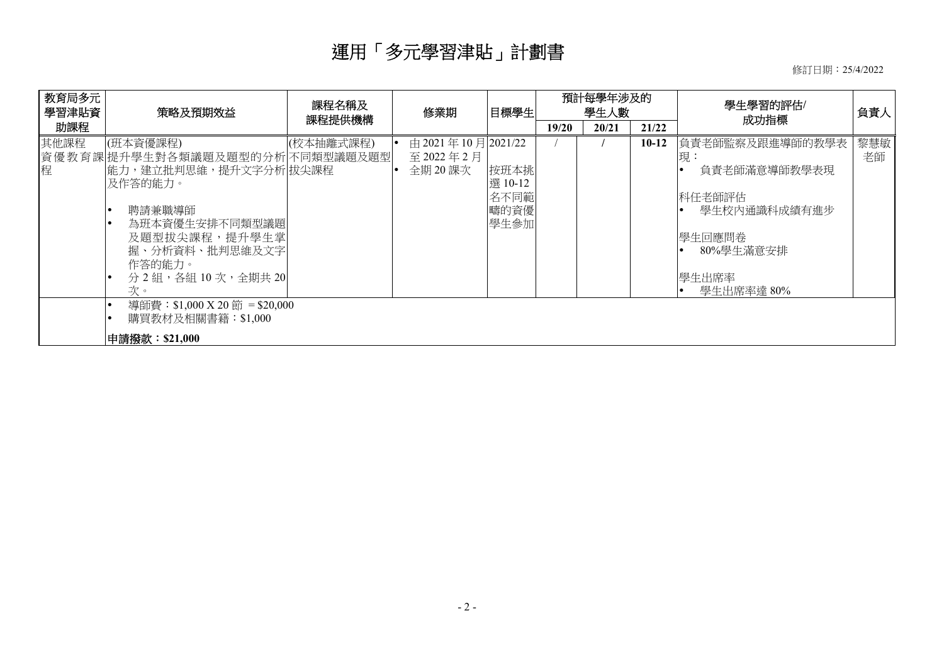修訂日期︰25/4/2022

| 教育局多元<br>學習津貼資 | 策略及預期效益                                                                                                                                                                                  | 課程名稱及     | 修業期                                        | 目標學生                                    |       | 預計每學年涉及的<br>學生人數 |         | 學生學習的評估/                                                                                                     | 負責人       |
|----------------|------------------------------------------------------------------------------------------------------------------------------------------------------------------------------------------|-----------|--------------------------------------------|-----------------------------------------|-------|------------------|---------|--------------------------------------------------------------------------------------------------------------|-----------|
| 助課程            |                                                                                                                                                                                          | 課程提供機構    |                                            |                                         | 19/20 | 20/21            | 21/22   | 成功指標                                                                                                         |           |
| 其他課程<br>程      | (班本資優課程)<br>資優教育課提升學生對各類議題及題型的分析不同類型議題及題型<br>能力,建立批判思維,提升文字分析 拔尖課程<br> 及作答的能力。<br>聘請兼職導師<br>為班本資優生安排不同類型議題<br>及題型拔尖課程, 提升學生掌<br>握、分析資料、批判思維及文字<br>作答的能力。<br>分 2 組, 各組 10 次, 全期共 20<br>次。 | (校本抽離式課程) | 由 2021年10月2021/22<br>至 2022年2月<br>全期 20 課次 | 按班本挑<br>選 10-12<br>名不同範<br>疇的資優<br>學生參加 |       |                  | $10-12$ | 負責老師監察及跟進導師的教學表<br>現<br>負責老師滿意導師教學表現<br>科任老師評估<br>學生校內通識科成績有進步<br>學生回應問卷<br>80%學生滿意安排<br>學生出席率<br>學生出席率達 80% | 黎慧敏<br>老師 |
|                | 導師費:\$1,000 X 20 節 = \$20,000<br>購買教材及相關書籍: \$1,000<br> 申請撥款:\$21,000                                                                                                                    |           |                                            |                                         |       |                  |         |                                                                                                              |           |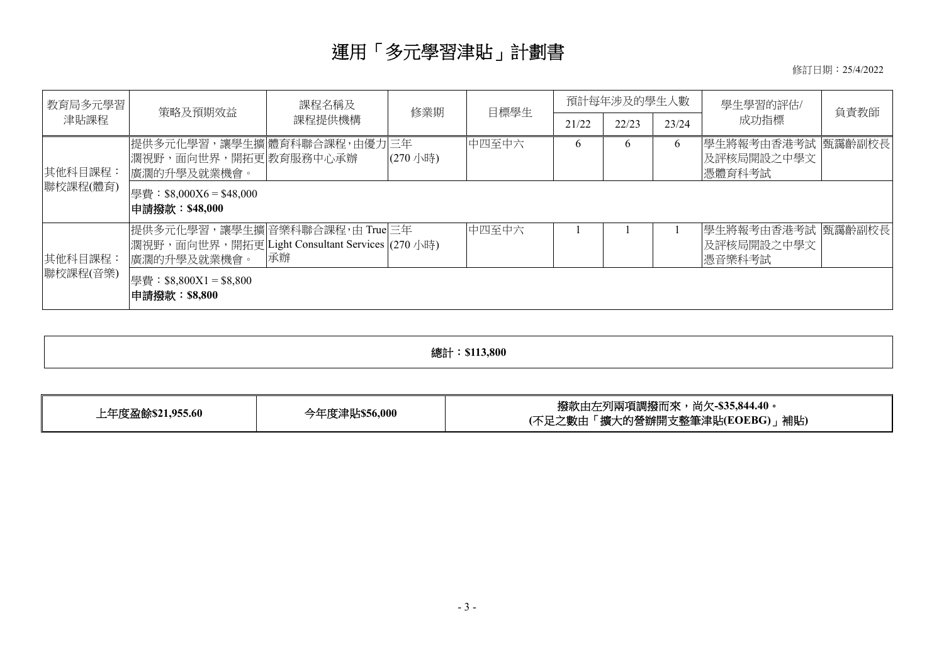修訂日期︰25/4/2022

| 教育局多元學習  | 策略及預期效益                                                                                            | 課程名稱及  | 修業期      | 目標學生  | 預計每年涉及的學生人數 |       |       | 學生學習的評估/                           | 負責教師   |
|----------|----------------------------------------------------------------------------------------------------|--------|----------|-------|-------------|-------|-------|------------------------------------|--------|
| 津貼課程     |                                                                                                    | 課程提供機構 |          |       | 21/22       | 22/23 | 23/24 | 成功指標                               |        |
| 其他科目課程:  | 提供多元化學習,讓學生擴體育科聯合課程,由優力三年<br>濶視野,面向世界,開拓更 教育服務中心承辦<br>廣濶的升學及就業機會。                                  |        | (270 小時) | 中四至中六 |             | 6     | 6.    | 學生將報考由香港考試<br>及評核局開設之中學文<br>憑體育科考試 | 甄靄齡副校長 |
| 聯校課程(體育) | 學費:\$8,000X6 = \$48,000<br> 申請撥款:\$48,000                                                          |        |          |       |             |       |       |                                    |        |
| 其他科目課程:  | 提供多元化學習,讓學生擴 音樂科聯合課程,由 True 三年<br> 濶視野,面向世界,開拓更 Light Consultant Services  (270 小時)<br>廣濶的升學及就業機會。 | 承辦     |          | 中四至中六 |             |       |       | 學生將報考由香港考試<br>及評核局開設之中學文<br>憑音樂科考試 | 甄靄齡副校長 |
| 聯校課程(音樂) | 學費:\$8,800X1=\$8,800<br> 申請撥款:\$8,800                                                              |        |          |       |             |       |       |                                    |        |

總計︰**\$113,800** 

| 上年度盈餘\$21,955.60 | 年度津貼\$56,000 | 撥款由左列兩項調撥而來<br>商欠-\$35,844.40。<br>補貼)<br>「擴大的營辦開支整筆津貼(EOEBG)」<br>(不足之數由 |
|------------------|--------------|-------------------------------------------------------------------------|
|------------------|--------------|-------------------------------------------------------------------------|